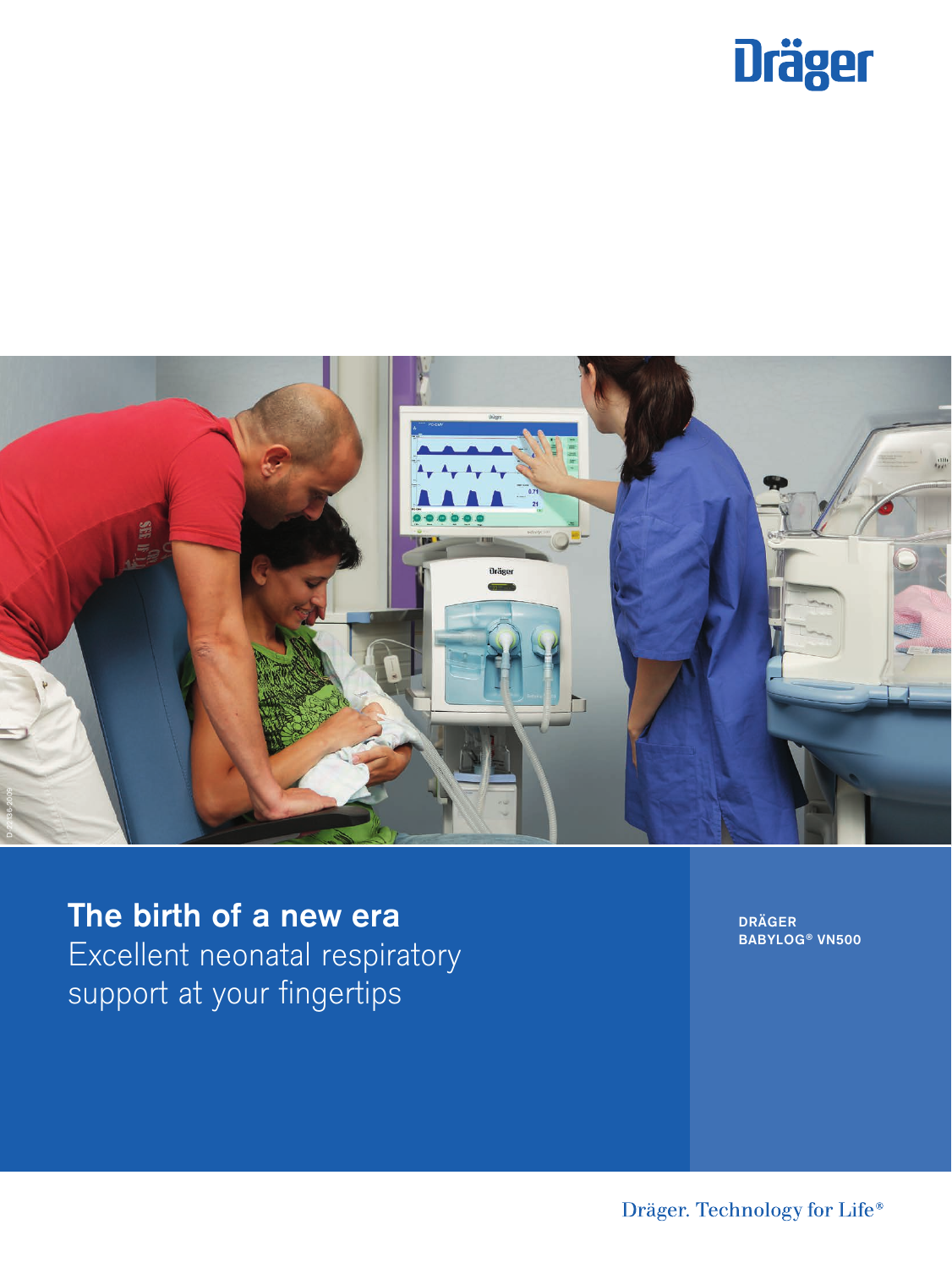



The birth of a new era Excellent neonatal respiratory support at your fingertips

DRÄGER BABYLOG ® VN500

Dräger. Technology for Life®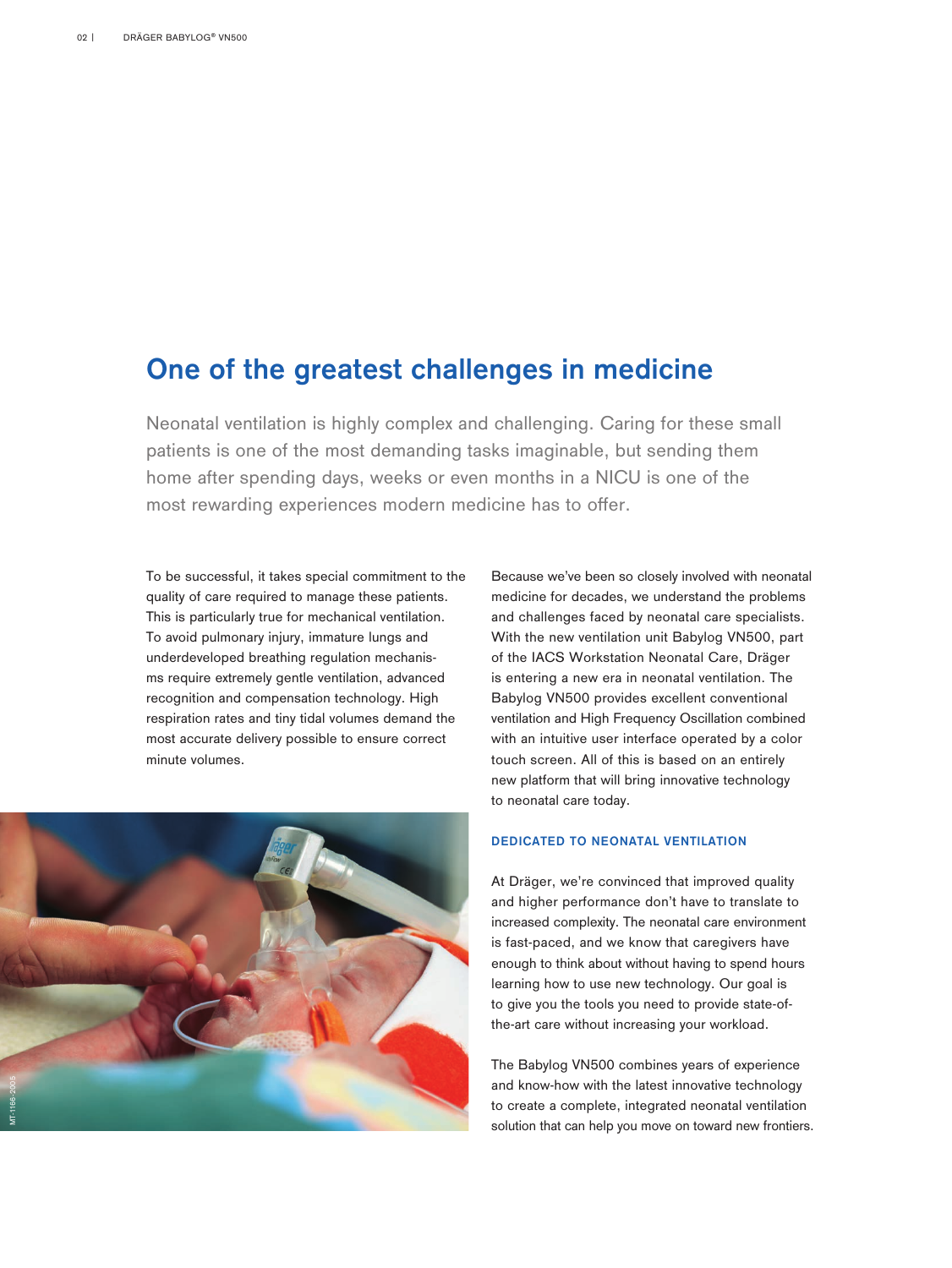#### One of the greatest challenges in medicine

Neonatal ventilation is highly complex and challenging. Caring for these small patients is one of the most demanding tasks imaginable, but sending them home after spending days, weeks or even months in a NICU is one of the most rewarding experiences modern medicine has to offer.

To be successful, it takes special commitment to the quality of care required to manage these patients. This is particularly true for mechanical ventilation. To avoid pulmonary injury, immature lungs and underdeveloped breathing regulation mechanisms require extremely gentle ventilation, advanced recognition and compensation technology. High respiration rates and tiny tidal volumes demand the most accurate delivery possible to ensure correct minute volumes.



Because we've been so closely involved with neonatal medicine for decades, we understand the problems and challenges faced by neonatal care specialists. With the new ventilation unit Babylog VN500, part of the IACS Workstation Neonatal Care, Dräger is entering a new era in neonatal ventilation. The Babylog VN500 provides excellent conventional ventilation and High Frequency Oscillation combined with an intuitive user interface operated by a color touch screen. All of this is based on an entirely new platform that will bring innovative technology to neonatal care today.

#### DEDICATED TO NEONATAL VENTILATION

At Dräger, we're convinced that improved quality and higher performance don't have to translate to increased complexity. The neonatal care environment is fast-paced, and we know that caregivers have enough to think about without having to spend hours learning how to use new technology. Our goal is to give you the tools you need to provide state-ofthe-art care without increasing your workload.

The Babylog VN500 combines years of experience and know-how with the latest innovative technology to create a complete, integrated neonatal ventilation solution that can help you move on toward new frontiers.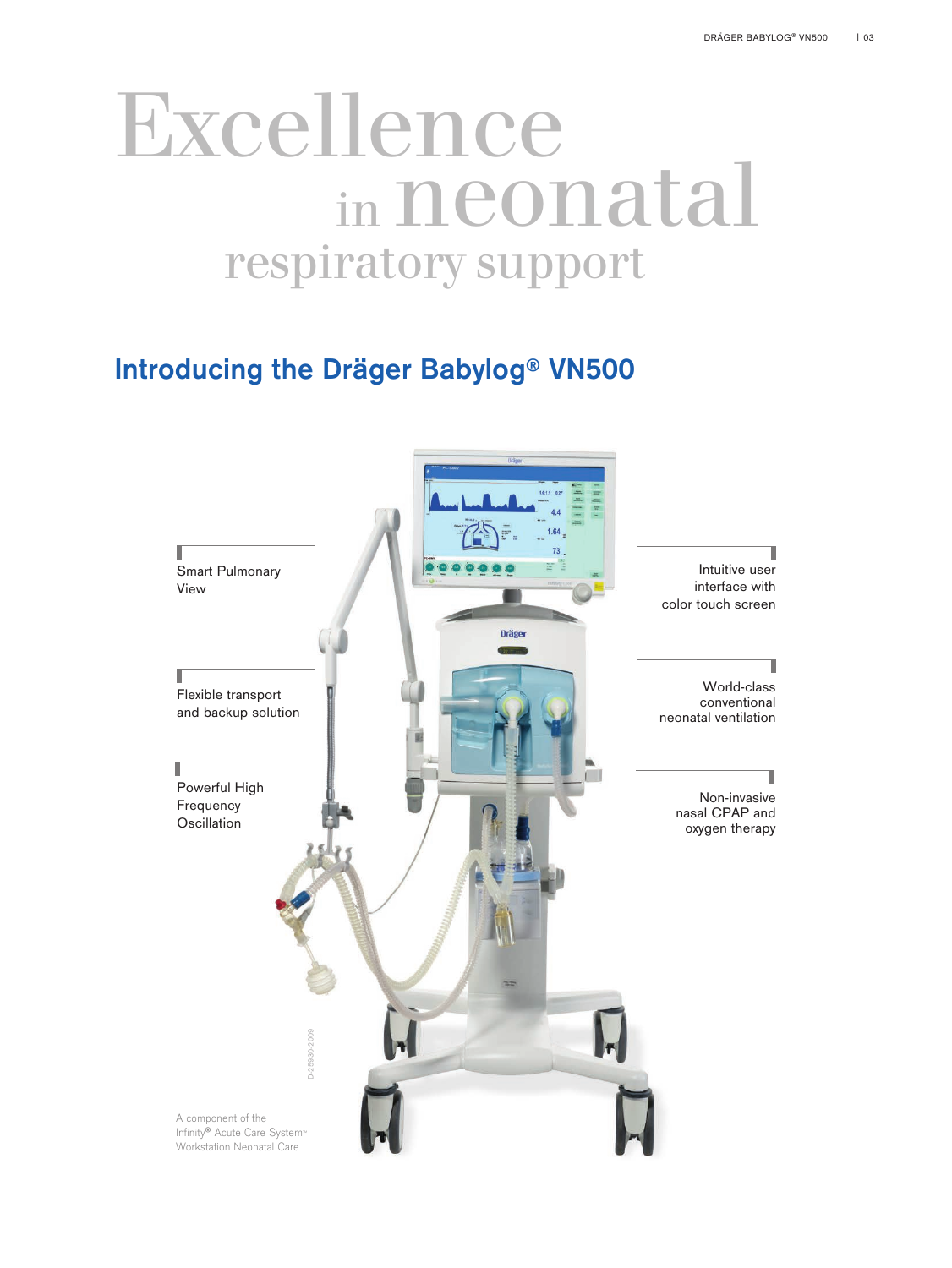## Excellence in neonatal respiratory support

## Introducing the Dräger Babylog® VN500

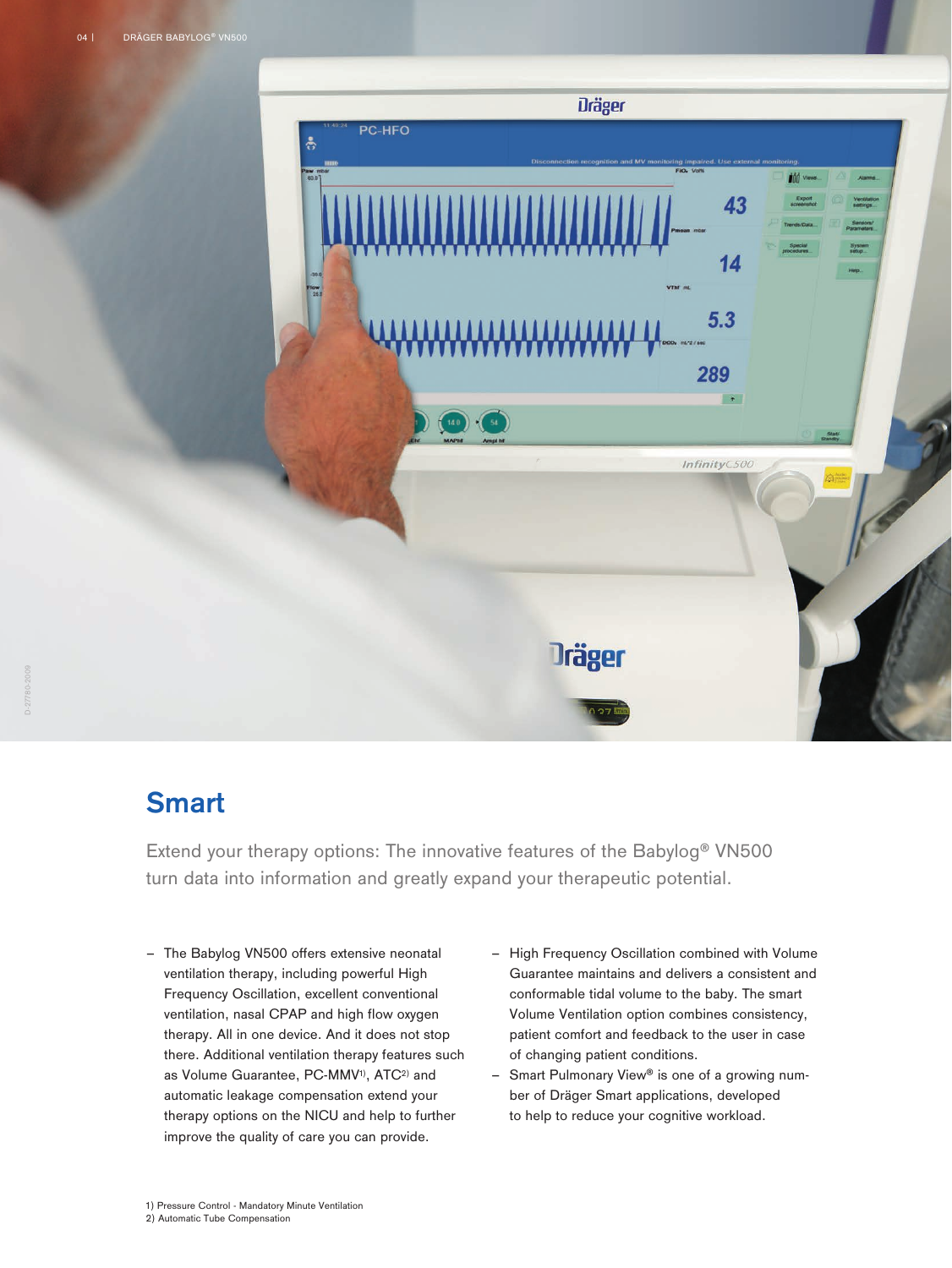

### **Smart**

Extend your therapy options: The innovative features of the Babylog® VN500 turn data into information and greatly expand your therapeutic potential.

- The Babylog VN500 offers extensive neonatal ventilation therapy, including powerful High Frequency Oscillation, excellent conventional ventilation, nasal CPAP and high flow oxygen therapy. All in one device. And it does not stop there. Additional ventilation therapy features such as Volume Guarantee, PC-MMV<sup>1)</sup>, ATC<sup>2)</sup> and automatic leakage compensation extend your therapy options on the NICU and help to further improve the quality of care you can provide.
- High Frequency Oscillation combined with Volume Guarantee maintains and delivers a consistent and conformable tidal volume to the baby. The smart Volume Ventilation option combines consistency, patient comfort and feedback to the user in case of changing patient conditions.
- Smart Pulmonary View® is one of a growing number of Dräger Smart applications, developed to help to reduce your cognitive workload.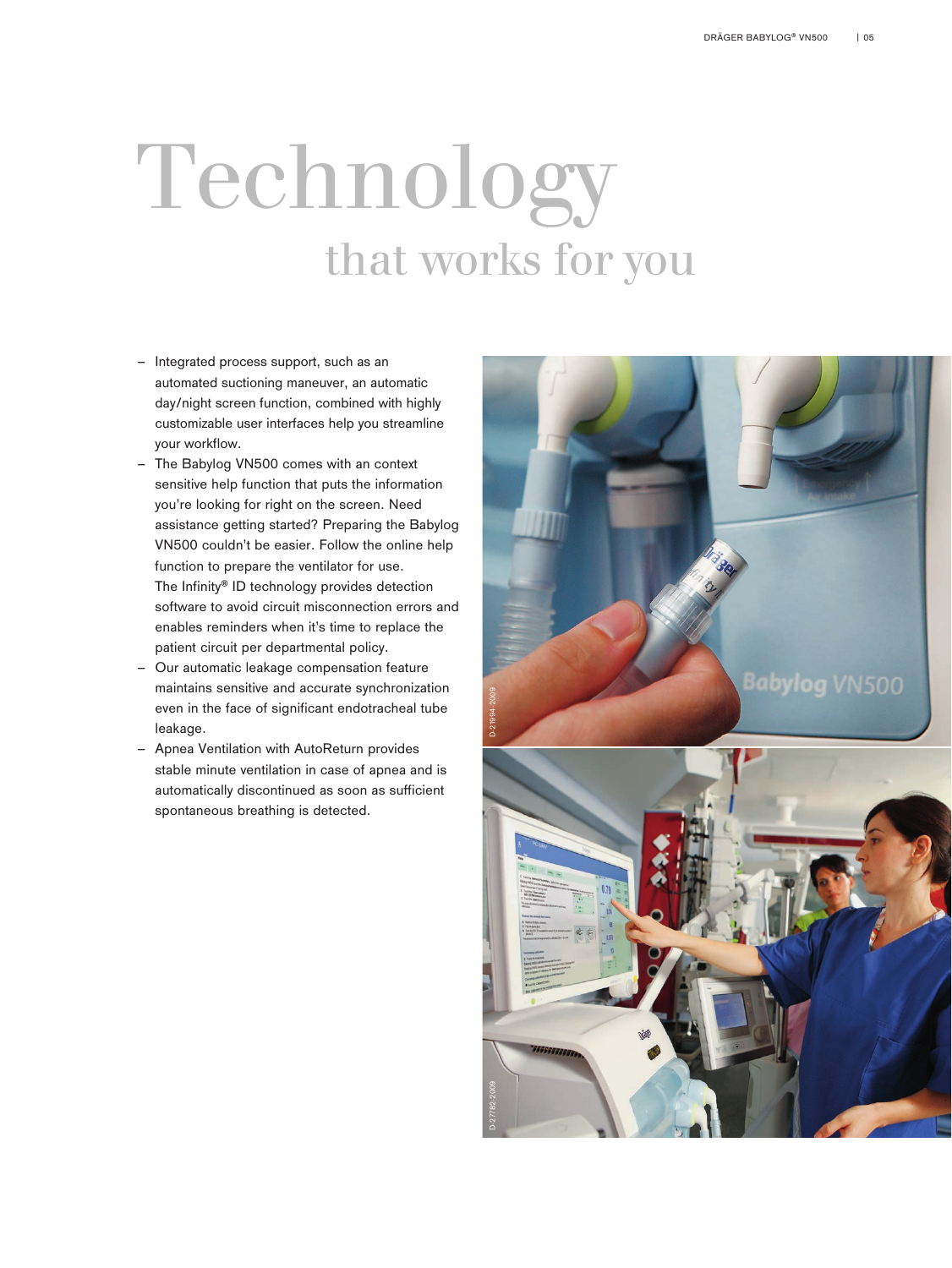# Technology that works for you

- Integrated process support, such as an automated suctioning maneuver, an automatic day/night screen function, combined with highly customizable user interfaces help you streamline your workflow.
- The Babylog VN500 comes with an context sensitive help function that puts the information you're looking for right on the screen. Need assistance getting started? Preparing the Babylog VN500 couldn't be easier. Follow the online help function to prepare the ventilator for use. The Infinity® ID technology provides detection software to avoid circuit misconnection errors and enables reminders when it's time to replace the patient circuit per departmental policy.
- Our automatic leakage compensation feature maintains sensitive and accurate synchronization even in the face of significant endotracheal tube leakage.
- Apnea Ventilation with AutoReturn provides stable minute ventilation in case of apnea and is automatically discontinued as soon as sufficient spontaneous breathing is detected.

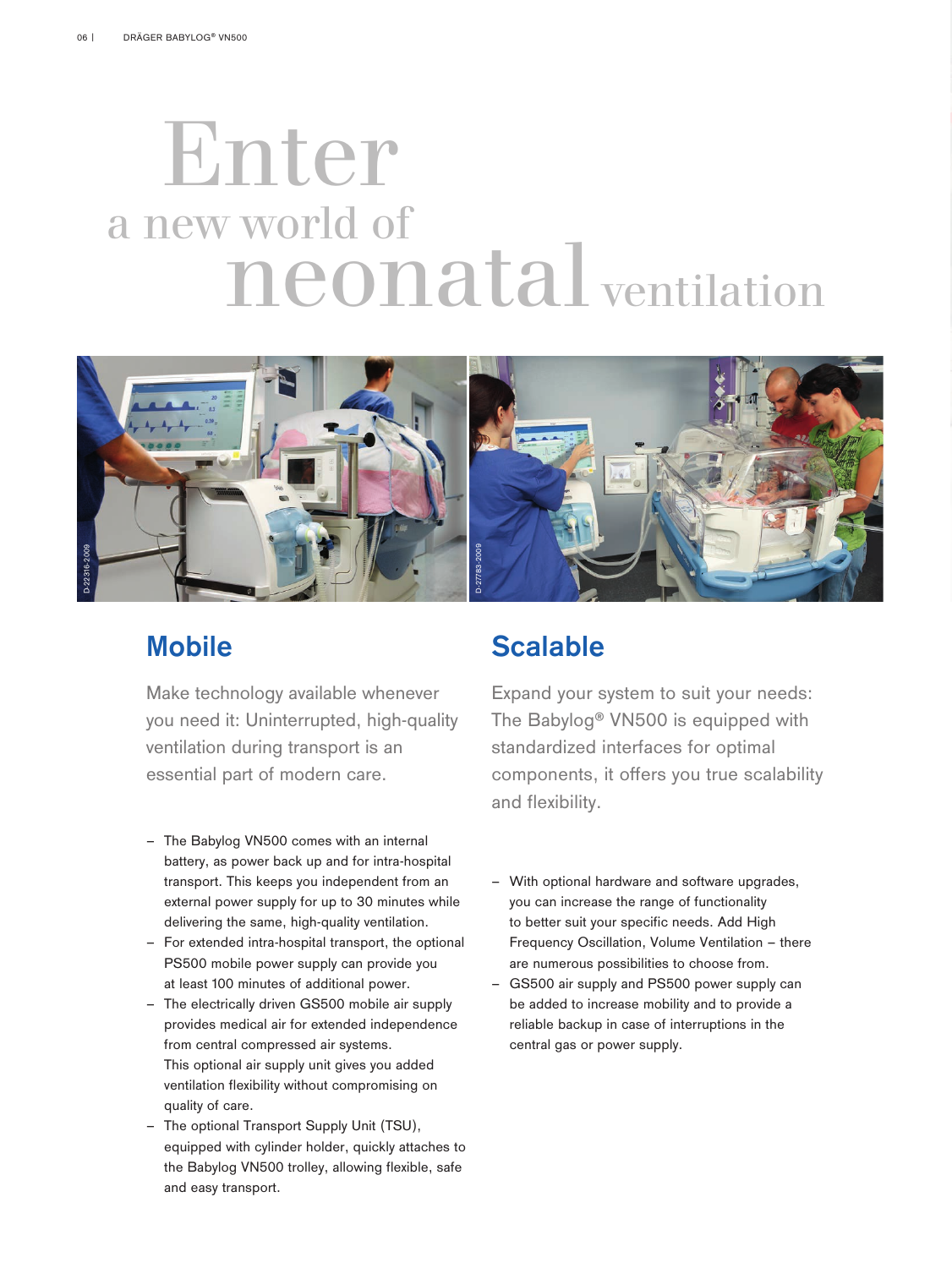## Enter a new world of neonatal ventilation



## **Mobile**

Make technology available whenever you need it: Uninterrupted, high-quality ventilation during transport is an essential part of modern care.

- The Babylog VN500 comes with an internal battery, as power back up and for intra-hospital transport. This keeps you independent from an external power supply for up to 30 minutes while delivering the same, high-quality ventilation.
- For extended intra-hospital transport, the optional PS500 mobile power supply can provide you at least 100 minutes of additional power.
- The electrically driven GS500 mobile air supply provides medical air for extended independence from central compressed air systems. This optional air supply unit gives you added ventilation flexibility without compromising on quality of care.
- The optional Transport Supply Unit (TSU), equipped with cylinder holder, quickly attaches to the Babylog VN500 trolley, allowing flexible, safe and easy transport.

## Scalable

Expand your system to suit your needs: The Babylog® VN500 is equipped with standardized interfaces for optimal components, it offers you true scalability and flexibility.

- With optional hardware and software upgrades, you can increase the range of functionality to better suit your specific needs. Add High Frequency Oscillation, Volume Ventilation – there are numerous possibilities to choose from.
- GS500 air supply and PS500 power supply can be added to increase mobility and to provide a reliable backup in case of interruptions in the central gas or power supply.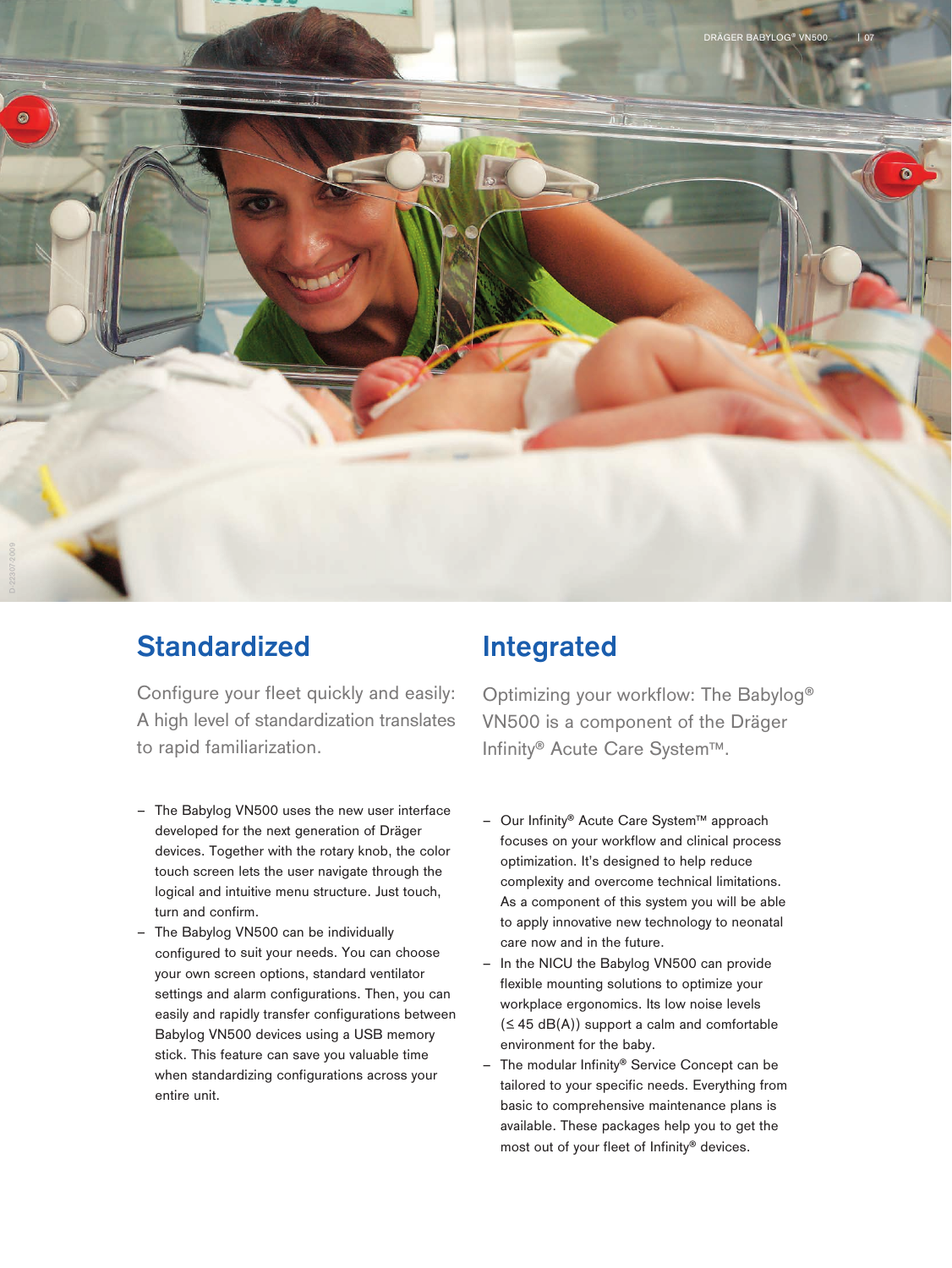

## **Standardized**

Configure your fleet quickly and easily: A high level of standardization translates to rapid familiarization.

- The Babylog VN500 uses the new user interface developed for the next generation of Dräger devices. Together with the rotary knob, the color touch screen lets the user navigate through the logical and intuitive menu structure. Just touch, turn and confirm.
- The Babylog VN500 can be individually configured to suit your needs. You can choose your own screen options, standard ventilator settings and alarm configurations. Then, you can easily and rapidly transfer configurations between Babylog VN500 devices using a USB memory stick. This feature can save you valuable time when standardizing configurations across your entire unit.

### Integrated

Optimizing your workflow: The Babylog® VN500 is a component of the Dräger Infinity® Acute Care System™.

- Our Infinity® Acute Care System™ approach focuses on your workflow and clinical process optimization. It's designed to help reduce complexity and overcome technical limitations. As a component of this system you will be able to apply innovative new technology to neonatal care now and in the future.
- In the NICU the Babylog VN500 can provide flexible mounting solutions to optimize your workplace ergonomics. Its low noise levels  $( \leq 45 \text{ dB(A)})$  support a calm and comfortable environment for the baby.
- The modular Infinity® Service Concept can be tailored to your specific needs. Everything from basic to comprehensive maintenance plans is available. These packages help you to get the most out of your fleet of Infinity® devices.